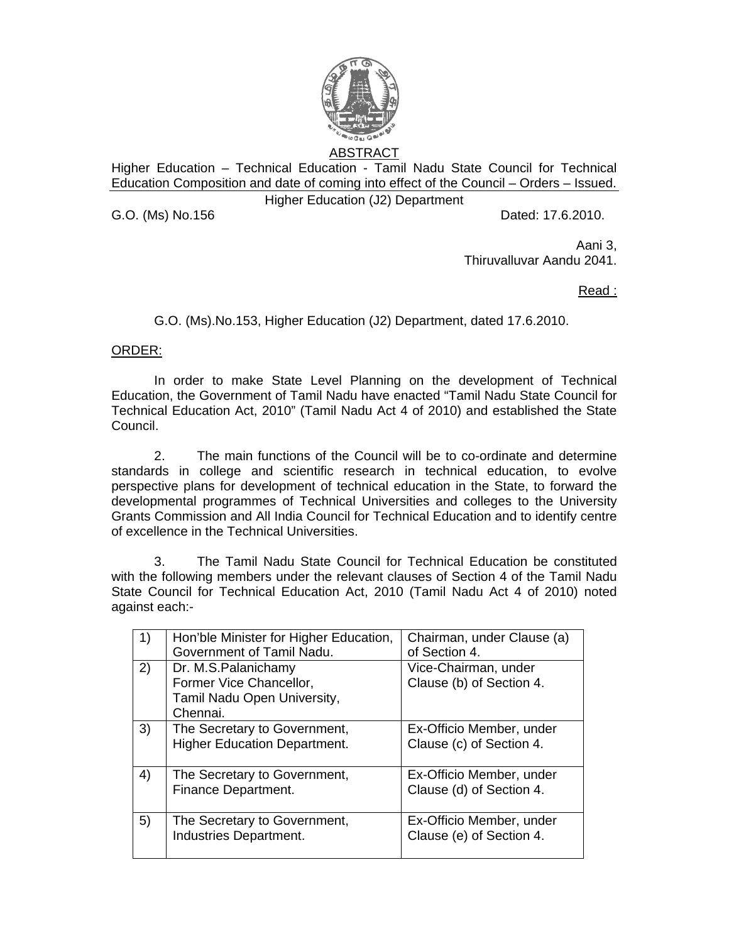

Higher Education – Technical Education - Tamil Nadu State Council for Technical Education Composition and date of coming into effect of the Council – Orders – Issued.

Higher Education (J2) Department

G.O. (Ms) No.156 **Dated: 17.6.2010.** 

Aani 3, Thiruvalluvar Aandu 2041.

Read :

G.O. (Ms).No.153, Higher Education (J2) Department, dated 17.6.2010.

## ORDER:

 In order to make State Level Planning on the development of Technical Education, the Government of Tamil Nadu have enacted "Tamil Nadu State Council for Technical Education Act, 2010" (Tamil Nadu Act 4 of 2010) and established the State Council.

2. The main functions of the Council will be to co-ordinate and determine standards in college and scientific research in technical education, to evolve perspective plans for development of technical education in the State, to forward the developmental programmes of Technical Universities and colleges to the University Grants Commission and All India Council for Technical Education and to identify centre of excellence in the Technical Universities.

3. The Tamil Nadu State Council for Technical Education be constituted with the following members under the relevant clauses of Section 4 of the Tamil Nadu State Council for Technical Education Act, 2010 (Tamil Nadu Act 4 of 2010) noted against each:-

| 1) | Hon'ble Minister for Higher Education,<br>Government of Tamil Nadu.                       | Chairman, under Clause (a)<br>of Section 4.          |
|----|-------------------------------------------------------------------------------------------|------------------------------------------------------|
| 2) | Dr. M.S.Palanichamy<br>Former Vice Chancellor,<br>Tamil Nadu Open University,<br>Chennai. | Vice-Chairman, under<br>Clause (b) of Section 4.     |
| 3) | The Secretary to Government,<br><b>Higher Education Department.</b>                       | Ex-Officio Member, under<br>Clause (c) of Section 4. |
| 4) | The Secretary to Government,<br>Finance Department.                                       | Ex-Officio Member, under<br>Clause (d) of Section 4. |
| 5) | The Secretary to Government,<br>Industries Department.                                    | Ex-Officio Member, under<br>Clause (e) of Section 4. |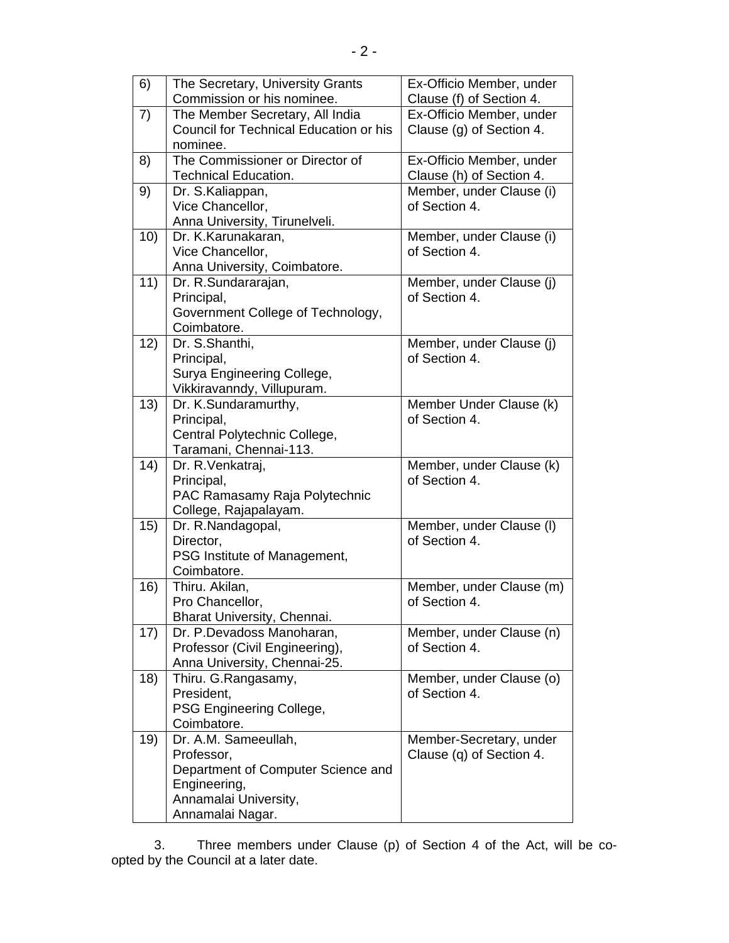| 6)   | The Secretary, University Grants       | Ex-Officio Member, under                  |
|------|----------------------------------------|-------------------------------------------|
|      | Commission or his nominee.             | Clause (f) of Section 4.                  |
| 7)   | The Member Secretary, All India        | Ex-Officio Member, under                  |
|      | Council for Technical Education or his | Clause (g) of Section 4.                  |
|      | nominee.                               |                                           |
| 8)   | The Commissioner or Director of        | Ex-Officio Member, under                  |
|      | <b>Technical Education.</b>            | Clause (h) of Section 4.                  |
| 9)   | Dr. S.Kaliappan,                       | Member, under Clause (i)                  |
|      | Vice Chancellor,                       | of Section 4.                             |
|      | Anna University, Tirunelveli.          |                                           |
| 10)  | Dr. K.Karunakaran,                     | Member, under Clause (i)                  |
|      | Vice Chancellor,                       | of Section 4.                             |
|      | Anna University, Coimbatore.           |                                           |
| 11)  | Dr. R.Sundararajan,                    | Member, under Clause (j)                  |
|      | Principal,                             | of Section 4.                             |
|      | Government College of Technology,      |                                           |
|      | Coimbatore.                            |                                           |
| 12)  | Dr. S.Shanthi,                         | Member, under Clause (j)                  |
|      | Principal,                             | of Section 4.                             |
|      | Surya Engineering College,             |                                           |
|      | Vikkiravanndy, Villupuram.             |                                           |
| 13)  | Dr. K.Sundaramurthy,                   | Member Under Clause (k)                   |
|      | Principal,                             | of Section 4.                             |
|      | Central Polytechnic College,           |                                           |
|      | Taramani, Chennai-113.                 |                                           |
| (14) | Dr. R. Venkatraj,                      | Member, under Clause (k)                  |
|      | Principal,                             | of Section 4.                             |
|      | PAC Ramasamy Raja Polytechnic          |                                           |
| 15)  | College, Rajapalayam.                  |                                           |
|      | Dr. R.Nandagopal,<br>Director,         | Member, under Clause (I)<br>of Section 4. |
|      | PSG Institute of Management,           |                                           |
|      | Coimbatore.                            |                                           |
| 16)  | Thiru. Akilan,                         | Member, under Clause (m)                  |
|      | Pro Chancellor,                        | of Section 4.                             |
|      | Bharat University, Chennai.            |                                           |
| 17)  | Dr. P.Devadoss Manoharan,              | Member, under Clause (n)                  |
|      | Professor (Civil Engineering),         | of Section 4.                             |
|      | Anna University, Chennai-25.           |                                           |
| 18)  | Thiru. G.Rangasamy,                    | Member, under Clause (o)                  |
|      | President,                             | of Section 4.                             |
|      | PSG Engineering College,               |                                           |
|      | Coimbatore.                            |                                           |
| 19)  | Dr. A.M. Sameeullah,                   | Member-Secretary, under                   |
|      | Professor,                             | Clause (q) of Section 4.                  |
|      | Department of Computer Science and     |                                           |
|      | Engineering,                           |                                           |
|      | Annamalai University,                  |                                           |
|      | Annamalai Nagar.                       |                                           |

 3. Three members under Clause (p) of Section 4 of the Act, will be coopted by the Council at a later date.